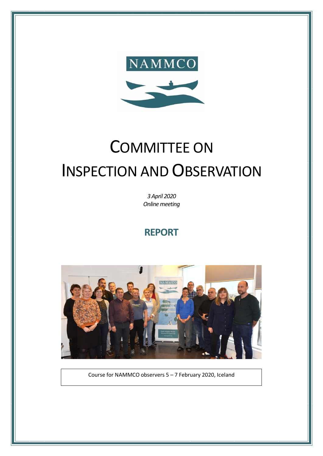

# COMMITTEE ON INSPECTION AND OBSERVATION

*3 April 2020 Online meeting* 

## **REPORT**



Course for NAMMCO observers 5 – 7 February 2020, Iceland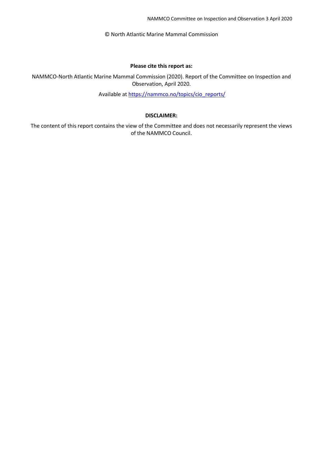© North Atlantic Marine Mammal Commission

#### **Please cite this report as:**

NAMMCO-North Atlantic Marine Mammal Commission (2020). Report of the Committee on Inspection and Observation, April 2020.

Available at [https://nammco.no/topics/cio\\_reports/](https://nammco.no/topics/cio_reports/)

#### **DISCLAIMER:**

The content of this report contains the view of the Committee and does not necessarily represent the views of the NAMMCO Council.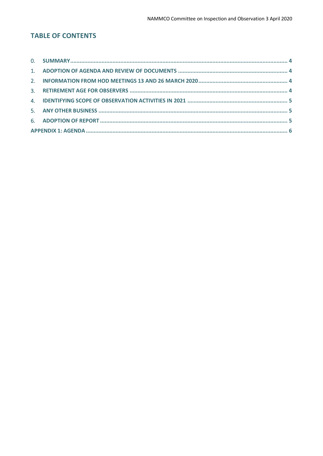## **TABLE OF CONTENTS**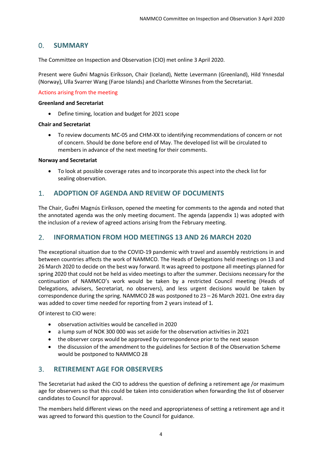## <span id="page-3-0"></span>0. **SUMMARY**

The Committee on Inspection and Observation (CIO) met online 3 April 2020.

Present were Guðni Magnús Eiríksson, Chair (Iceland), Nette Levermann (Greenland), Hild Ynnesdal (Norway), Ulla Svarrer Wang (Faroe Islands) and Charlotte Winsnes from the Secretariat.

#### Actions arising from the meeting

#### **Greenland and Secretariat**

• Define timing, location and budget for 2021 scope

#### **Chair and Secretariat**

• To review documents MC-05 and CHM-XX to identifying recommendations of concern or not of concern. Should be done before end of May. The developed list will be circulated to members in advance of the next meeting for their comments.

#### **Norway and Secretariat**

• To look at possible coverage rates and to incorporate this aspect into the check list for sealing observation.

## <span id="page-3-1"></span>1. **ADOPTION OF AGENDA AND REVIEW OF DOCUMENTS**

The Chair, Guðni Magnús Eiríksson, opened the meeting for comments to the agenda and noted that the annotated agenda was the only meeting document. The agenda (appendix 1) was adopted with the inclusion of a review of agreed actions arising from the February meeting.

### <span id="page-3-2"></span>2. **INFORMATION FROM HOD MEETINGS 13 AND 26 MARCH 2020**

The exceptional situation due to the COVID-19 pandemic with travel and assembly restrictions in and between countries affects the work of NAMMCO. The Heads of Delegations held meetings on 13 and 26 March 2020 to decide on the best way forward. It was agreed to postpone all meetings planned for spring 2020 that could not be held as video meetings to after the summer. Decisions necessary for the continuation of NAMMCO's work would be taken by a restricted Council meeting (Heads of Delegations, advisers, Secretariat, no observers), and less urgent decisions would be taken by correspondence during the spring. NAMMCO 28 was postponed to 23 – 26 March 2021. One extra day was added to cover time needed for reporting from 2 years instead of 1.

Of interest to CIO were:

- observation activities would be cancelled in 2020
- a lump sum of NOK 300 000 was set aside for the observation activities in 2021
- the observer corps would be approved by correspondence prior to the next season
- the discussion of the amendment to the guidelines for Section B of the Observation Scheme would be postponed to NAMMCO 28

## <span id="page-3-3"></span>3. **RETIREMENT AGE FOR OBSERVERS**

The Secretariat had asked the CIO to address the question of defining a retirement age /or maximum age for observers so that this could be taken into consideration when forwarding the list of observer candidates to Council for approval.

The members held different views on the need and appropriateness of setting a retirement age and it was agreed to forward this question to the Council for guidance.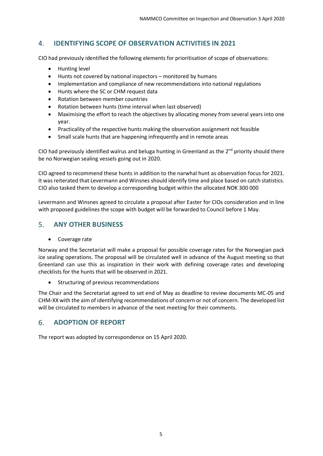## <span id="page-4-0"></span>4. **IDENTIFYING SCOPE OF OBSERVATION ACTIVITIES IN 2021**

CIO had previously identified the following elements for prioritisation of scope of observations:

- Hunting level
- Hunts not covered by national inspectors monitored by humans
- Implementation and compliance of new recommendations into national regulations
- Hunts where the SC or CHM request data
- Rotation between member countries
- Rotation between hunts (time interval when last observed)
- Maximising the effort to reach the objectives by allocating money from several years into one year.
- Practicality of the respective hunts making the observation assignment not feasible
- Small scale hunts that are happening infrequently and in remote areas

CIO had previously identified walrus and beluga hunting in Greenland as the  $2^{nd}$  priority should there be no Norwegian sealing vessels going out in 2020.

CIO agreed to recommend these hunts in addition to the narwhal hunt as observation focus for 2021. It was reiterated that Levermann and Winsnes should identify time and place based on catch statistics. CIO also tasked them to develop a corresponding budget within the allocated NOK 300 000

Levermann and Winsnes agreed to circulate a proposal after Easter for CIOs consideration and in line with proposed guidelines the scope with budget will be forwarded to Council before 1 May.

## <span id="page-4-1"></span>5. **ANY OTHER BUSINESS**

• Coverage rate

Norway and the Secretariat will make a proposal for possible coverage rates for the Norwegian pack ice sealing operations. The proposal will be circulated well in advance of the August meeting so that Greenland can use this as inspiration in their work with defining coverage rates and developing checklists for the hunts that will be observed in 2021.

• Structuring of previous recommendations

The Chair and the Secretariat agreed to set end of May as deadline to review documents MC-05 and CHM-XX with the aim of identifying recommendations of concern or not of concern. The developed list will be circulated to members in advance of the next meeting for their comments.

## <span id="page-4-2"></span>6. **ADOPTION OF REPORT**

The report was adopted by correspondence on 15 April 2020.